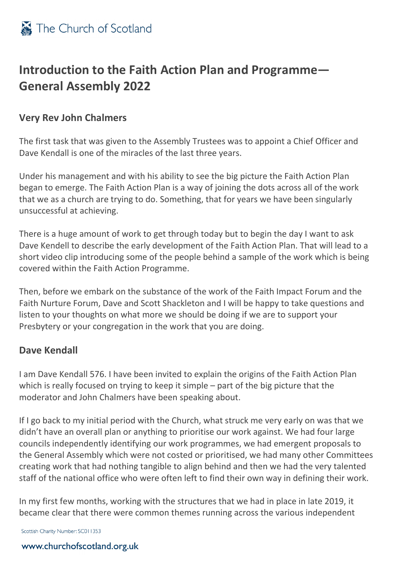## **Introduction to the Faith Action Plan and Programme— General Assembly 2022**

### **Very Rev John Chalmers**

The first task that was given to the Assembly Trustees was to appoint a Chief Officer and Dave Kendall is one of the miracles of the last three years.

Under his management and with his ability to see the big picture the Faith Action Plan began to emerge. The Faith Action Plan is a way of joining the dots across all of the work that we as a church are trying to do. Something, that for years we have been singularly unsuccessful at achieving.

There is a huge amount of work to get through today but to begin the day I want to ask Dave Kendell to describe the early development of the Faith Action Plan. That will lead to a short video clip introducing some of the people behind a sample of the work which is being covered within the Faith Action Programme.

Then, before we embark on the substance of the work of the Faith Impact Forum and the Faith Nurture Forum, Dave and Scott Shackleton and I will be happy to take questions and listen to your thoughts on what more we should be doing if we are to support your Presbytery or your congregation in the work that you are doing.

### **Dave Kendall**

I am Dave Kendall 576. I have been invited to explain the origins of the Faith Action Plan which is really focused on trying to keep it simple – part of the big picture that the moderator and John Chalmers have been speaking about.

If I go back to my initial period with the Church, what struck me very early on was that we didn't have an overall plan or anything to prioritise our work against. We had four large councils independently identifying our work programmes, we had emergent proposals to the General Assembly which were not costed or prioritised, we had many other Committees creating work that had nothing tangible to align behind and then we had the very talented staff of the national office who were often left to find their own way in defining their work.

In my first few months, working with the structures that we had in place in late 2019, it became clear that there were common themes running across the various independent

Scottish Charity Number: SC011353

#### www.churchofscotland.org.uk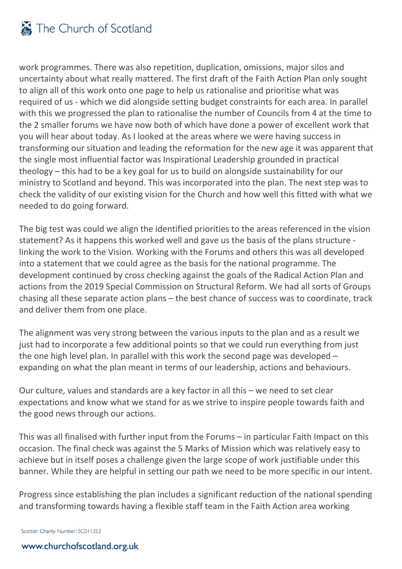

work programmes. There was also repetition, duplication, omissions, major silos and uncertainty about what really mattered. The first draft of the Faith Action Plan only sought to align all of this work onto one page to help us rationalise and prioritise what was required of us - which we did alongside setting budget constraints for each area. In parallel with this we progressed the plan to rationalise the number of Councils from 4 at the time to the 2 smaller forums we have now both of which have done a power of excellent work that you will hear about today. As I looked at the areas where we were having success in transforming our situation and leading the reformation for the new age it was apparent that the single most influential factor was Inspirational Leadership grounded in practical theology – this had to be a key goal for us to build on alongside sustainability for our ministry to Scotland and beyond. This was incorporated into the plan. The next step was to check the validity of our existing vision for the Church and how well this fitted with what we needed to do going forward.

The big test was could we align the identified priorities to the areas referenced in the vision statement? As it happens this worked well and gave us the basis of the plans structure linking the work to the Vision. Working with the Forums and others this was all developed into a statement that we could agree as the basis for the national programme. The development continued by cross checking against the goals of the Radical Action Plan and actions from the 2019 Special Commission on Structural Reform. We had all sorts of Groups chasing all these separate action plans – the best chance of success was to coordinate, track and deliver them from one place.

The alignment was very strong between the various inputs to the plan and as a result we just had to incorporate a few additional points so that we could run everything from just the one high level plan. In parallel with this work the second page was developed – expanding on what the plan meant in terms of our leadership, actions and behaviours.

Our culture, values and standards are a key factor in all this – we need to set clear expectations and know what we stand for as we strive to inspire people towards faith and the good news through our actions.

This was all finalised with further input from the Forums – in particular Faith Impact on this occasion. The final check was against the 5 Marks of Mission which was relatively easy to achieve but in itself poses a challenge given the large scope of work justifiable under this banner. While they are helpful in setting our path we need to be more specific in our intent.

Progress since establishing the plan includes a significant reduction of the national spending and transforming towards having a flexible staff team in the Faith Action area working

Scottish Charity Number: SC011353